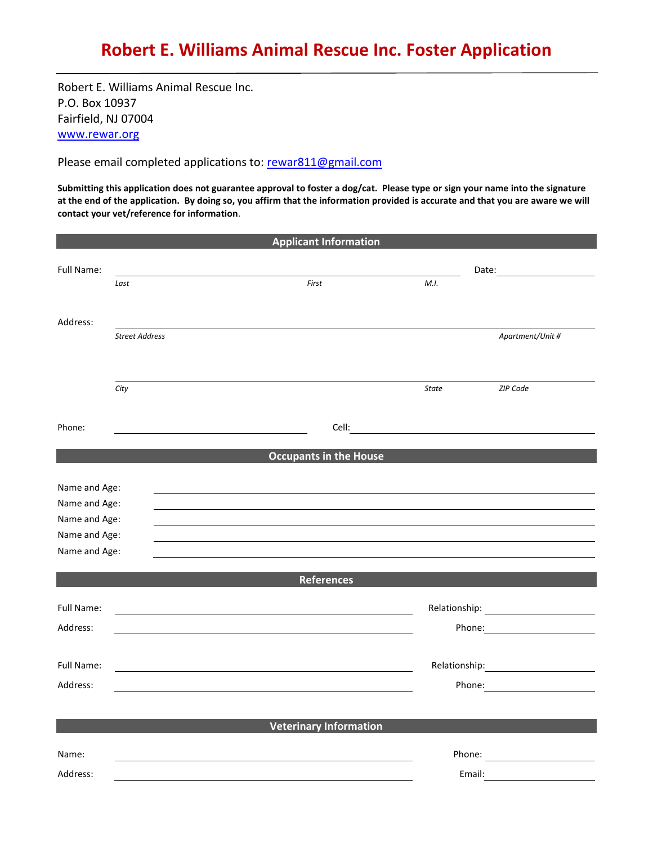Robert E. Williams Animal Rescue Inc. P.O. Box 10937 Fairfield, NJ 07004 [www.rewar.org](http://www.rewar.org/)

Please email completed applications to: [rewar811@gmail.com](mailto:rewar811@gmail.com)

**Submitting this application does not guarantee approval to foster a dog/cat. Please type or sign your name into the signature at the end of the application. By doing so, you affirm that the information provided is accurate and that you are aware we will contact your vet/reference for information**.

|                                |                       | <b>Applicant Information</b>  |              |                                                                                                                                                                                                                                |
|--------------------------------|-----------------------|-------------------------------|--------------|--------------------------------------------------------------------------------------------------------------------------------------------------------------------------------------------------------------------------------|
| Full Name:                     |                       |                               |              |                                                                                                                                                                                                                                |
|                                | Last                  | First                         | M.I.         |                                                                                                                                                                                                                                |
|                                |                       |                               |              |                                                                                                                                                                                                                                |
| Address:                       |                       |                               |              |                                                                                                                                                                                                                                |
|                                | <b>Street Address</b> |                               |              | Apartment/Unit #                                                                                                                                                                                                               |
|                                |                       |                               |              |                                                                                                                                                                                                                                |
|                                | City                  |                               | <b>State</b> | ZIP Code                                                                                                                                                                                                                       |
| Phone:                         |                       | Cell:                         |              | <u> 1980 - Johann Barn, mars ann an t-Amhain Aonaich an t-Aonaich an t-Aonaich ann an t-Aonaich ann an t-Aonaich</u>                                                                                                           |
|                                |                       | <b>Occupants in the House</b> |              |                                                                                                                                                                                                                                |
|                                |                       |                               |              |                                                                                                                                                                                                                                |
| Name and Age:<br>Name and Age: |                       |                               |              |                                                                                                                                                                                                                                |
| Name and Age:                  |                       |                               |              |                                                                                                                                                                                                                                |
| Name and Age:                  |                       |                               |              |                                                                                                                                                                                                                                |
| Name and Age:                  |                       |                               |              |                                                                                                                                                                                                                                |
|                                |                       | <b>References</b>             |              |                                                                                                                                                                                                                                |
| Full Name:                     |                       |                               |              |                                                                                                                                                                                                                                |
| Address:                       |                       |                               |              | Phone: <u>_________________________</u>                                                                                                                                                                                        |
|                                |                       |                               |              |                                                                                                                                                                                                                                |
| Full Name:                     |                       |                               |              |                                                                                                                                                                                                                                |
| Address:                       |                       |                               |              | Phone:                                                                                                                                                                                                                         |
|                                |                       |                               |              |                                                                                                                                                                                                                                |
|                                |                       | <b>Veterinary Information</b> |              |                                                                                                                                                                                                                                |
| Name:                          |                       |                               |              | Phone: The contract of the contract of the contract of the contract of the contract of the contract of the contract of the contract of the contract of the contract of the contract of the contract of the contract of the con |
| Address:                       |                       |                               |              | Email:                                                                                                                                                                                                                         |
|                                |                       |                               |              |                                                                                                                                                                                                                                |